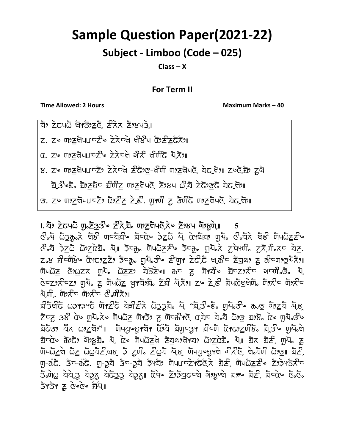## Sample Question Paper(2021-22)

## Subject - Limboo (Code – 025)

Class – X

## For Term II

Time Allowed: 2 Hours Maximum Marks – 40

 $\overline{z}$ ) zoun gržize zka žikus.

 $Z.$   $Z^\omega$  ຫຼ $Z$ ຕີ້ງພ $Z^\omega$ ອີ້ນລີ້ ລີ້ເຮີມຕໍ່ ຕີ $Z^\omega$ ຂີ້ເຊີ້ມີ.

 $\alpha$ , zu metulitel skolar aktivar alka

ਲ. Zu णाट्रपिपा टेर ट्रेटले टेकेलु-लेणी णाट्रपेपले, येट्रेजिशा Zue ये

 $\overline{z}_1$ ਤੇ  $\overline{z}_2$   $\overline{z}_3$   $\overline{z}_5$   $\overline{z}_7$   $\overline{z}_7$   $\overline{z}_7$   $\overline{z}_7$   $\overline{z}_7$   $\overline{z}_7$   $\overline{z}_7$   $\overline{z}_7$   $\overline{z}_7$   $\overline{z}_7$   $\overline{z}_7$   $\overline{z}_7$   $\overline{z}_7$   $\overline{z}_7$   $\overline{z}_7$   $\overline{z}_7$   $\overline{z}_7$   $\overline{z}_7$ 

ਤ. zω ਗਾਣੂਬੋਪਪਾਬਣਾ ਕਾਣੋਂ ਨੂੰ ਸ਼ੁਰਾ ਦਾ ਕਾਰੀ ਨੂੰ ਤਾਹੀਨ ਗਾਣੂਬੋਪਣ, ਬੇਟ ਬਾ

## $I.$   $\overline{z}$ )  $\overline{z}$ ਟਿਪ $\overline{\omega}$  ਗੁ $\overline{z}$ ਤ $\overline{3}$   $\overline{z}$   $\overline{z}$ ੈ ਹ $\overline{z}$  ਅਪਨੂੰ ਨੂੰ  $\overline{z}$  ,  $\overline{z}$  ,  $\overline{z}$  ,  $\overline{z}$  ,  $\overline{z}$  ,  $\overline{z}$  ,  $\overline{z}$  ,  $\overline{z}$  ,  $\overline{z}$  ,  $\overline{z}$  ,  $\overline{z}$  ,  $\overline{z$

 $x^2$ ੱਧ  $\overline{a}$  $\overline{b}$   $\overline{c}$  ਰਿੱ $\overline{c}$  ਗ $\overline{c}$  ਅ $\overline{c}$   $\overline{c}$   $\overline{c}$   $\overline{c}$   $\overline{a}$   $\overline{c}$   $\overline{c}$   $\overline{c}$   $\overline{c}$   $\overline{c}$   $\overline{c}$   $\overline{c}$   $\overline{c}$   $\overline{c}$   $\overline{c}$   $\overline{c}$   $\overline{c}$   $\overline{c}$   $\$  $x_0$   $\bar{x}_1$   $\bar{x}_2$   $\bar{x}_2$   $\bar{x}_3$   $\bar{x}_4$   $\bar{x}_5$   $\bar{x}_6$   $\bar{x}_5$   $\bar{x}_6$   $\bar{x}_7$   $\bar{x}_8$   $\bar{x}_7$   $\bar{x}_8$   $\bar{x}_7$   $\bar{x}_8$   $\bar{x}_7$   $\bar{x}_8$   $\bar{x}_7$   $\bar{x}_8$   $\bar{x}_7$   $\bar{x}_8$   $\bar{x}_8$   $\bar{x}_7$   $\bar{x}_8$   $\bar{x}_8$   $\bar{x}_8$   $\bar{x}_8$ z.୪ ਬ਼ੌ<sup>ਟ</sup>ਯੋ੪ੇਂ૰ ữੇ ਹੋਪਟੇ ਨੈਂਟਰ੍ਹ, ਯੂਪੋ,ਲੌਂ॰ ਟੈਂਯੂਮ ਟੇਟੋ,ਟੋ ਖ੍ਰਨੈਂਟ ਟੋਧੂੰਘ ਟੂ ਨੈਂਟਯਾਲਪੋਨੋਂਂ)  $\overline{u}$   $\overline{u}$   $\overline{u}$   $\overline{u}$   $\overline{u}$   $\overline{u}$   $\overline{u}$   $\overline{u}$   $\overline{u}$   $\overline{u}$   $\overline{u}$   $\overline{u}$   $\overline{u}$   $\overline{u}$   $\overline{u}$   $\overline{u}$   $\overline{u}$   $\overline{u}$   $\overline{u}$   $\overline{u}$   $\overline{u}$   $\overline{u}$   $\overline{u}$   $\overline{u}$   $\overline{$ ਦੇਵਟਾਨੀਵਟਾ ਗੁਪੈ, ਟੂ ਯੋਪਘੈ<u>ਟ</u> ਖ਼ੁਮਬੋਾਬੈ, ਟੋਬੀ ਪ੍ਰੋ,ਨੋਅ ਟੂਪ ਟੇ, ਟੀ ਬੋਪਲੈਖੁਖੇਯੋ, ਯੋਸਨੀਵ ਯੋਸਨੀਵ  $\lambda$ ਪੁਰੀ, ਗੋ $\lambda$ ਟ ਗੋ $\lambda$ ਟ  $\mathcal{C}$  ਗੰਨਿ $\lambda$ 

 $z$ ਤੇਖੀਟੋ ωਤਮਤਮਟੋ ਯੋਮ $z$ ਟੋ ਧੇਤੀ $z$ ਨੇ  $z$ ੋਤੇ ਹੋ, "ਬ੍ਰੇਤੀ ਦੌਰ ਗ਼ਯੋਰੀ ਹ $z$  ਹੋ।ਅਰੁਬਾ ਪੋਲ  $\tilde{\mathcal{Z}}$ ਵਿੱਚ ਤੁਲੌ ਕੇ ਅਪ੍ਰੈਪਨ, ਅਪਰੈਂਟ ਹਾਂ ਕਿਸੇ ਨੂੰ ਅਪਰੈਂਟ ਕੇ ਕੇ ਕਿਸੇ ਕਿਸੇ ਕੁਮੇਂ ਨੂੰ ਅਪਰੈਂਟ ਤੁਸੀਂ ਹ ইটতে, ঘাঁত এগ<u>্ৰ</u>েলী, আগবৈদ্যাৰ দুৰ্ঘটি বিভাৰত বিদ্যালী বিদ্যালী বিদ্যালী বিদ্যালী বিদ্যালীৰ  $\overline{z}$ বেও ক্রিস্টে, গ্যাপ্তয় মি, বৈও টাওএেৰ্ট্র ইন্রঞ্জাপবা এগ্রুবৈয় মি, যি ব্লাই যুদি দ্র  $\varphi$   $\bar{\varphi}$   $\bar{\varphi}$   $\bar{\varphi}$   $\bar{\varphi}$   $\bar{\varphi}$   $\bar{\varphi}$   $\bar{\varphi}$   $\bar{\varphi}$   $\bar{\varphi}$   $\bar{\varphi}$   $\bar{\varphi}$   $\bar{\varphi}$   $\bar{\varphi}$   $\bar{\varphi}$   $\bar{\varphi}$   $\bar{\varphi}$   $\bar{\varphi}$   $\bar{\varphi}$   $\bar{\varphi}$   $\bar{\varphi}$   $\bar{\varphi}$   $\bar{\varphi}$   $\bar{\varphi}$   $\bar{\varphi}$  $\bar{y}$ -öc.  $\bar{3}$ c-öc.  $\bar{y}$ - $\bar{z}$   $\bar{z}$  - $\bar{z}$   $\bar{z}$   $\bar{z}$   $\bar{y}$  where  $\bar{z}$  in  $\bar{z}$  in  $\bar{z}$  in  $\bar{z}$  $\tau$ di, diditional didition diditional diditional diditional diditional contribution diditional contribution diditio  $3459$   $E$   $360$   $E$   $\overline{24}$ ,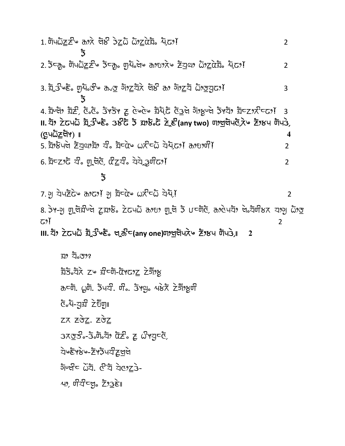$1.$  ਯੋਪ $\bar{\omega}$  $\geq$ ੇ ਨਾਨੇ ਚੋਲ ਤੇ $\geq$  $\bar{\omega}$   $\bar{\omega}$ , $\geq$  $\bar{\alpha}$ ਬ $\bar{z}$ , ਪ੍ਰੋ $\sim$ )  $\bar{\alpha}$  $\overline{2}$ ັ້ງ 2. उँटकु णिपकेंट्र टीक उँटकु शुर्ये ले कश्छात्रे हैंयुया केंट्रों सेंद्रा  $\overline{2}$ 3. ঘূড় ১৯৯৯ দুখাত কিন্তু গুৰু নাই বিষ্ট কা গাঁৱ কাৰ্য কাৰ্য 3  $\overline{5}$ 4. ਬਾਂਖਾ ਬੋਣੇ, ਫੋ.ਫੋ. ਤੋਂ ਤੌਰ ਟੂ ਫੇ ਫੋਲ ਬੋਧੋ, ਫੋ ਕੁੱਖੇ ਗੋ, ਸੁੱਖਾ ਤੋਂ ਬੋਟ ਤੋਂ ਵਿੱਚ ਹੈ 3 II. ସି? ਟੇਟਪਨੋ ਬ੍ਰੇਤੇ ੇਣ 38ੋਂਟ ਤੋਂ ਬਾਲੇ ਟੋ ਟੇ ਵੇ(any two) ण ਖੁਖੋਪ ਟੋ, ਏ ਟੋ? ਖ ਯੋਪਤੇ, (৫়ু੫Ωৈ<u>≭</u>লগ) ॥  $\boldsymbol{4}$ 5. ਬੋਂਸਲੋਪਦੇ ਟੋਧੁਕਾ ਬੋਂ ਬੈਂ- ਬੋਚੋਂ ਅਨੇ ਵਧੋ ਬੇਅਫ਼ , ਨਾਹ ਗੋਂ?  $\overline{2}$ 6. ঘটি ঘটা ঘটা বুলি বিদ্যুগীয়ে। 6. ঘটা ঘটা ঘটা বিদ্যা  $\overline{2}$  $\overline{3}$  $\overline{2}$ 8. ਤੇ - ਗੁਰਿ ਜ਼ੀ ਦੁਸ਼ਾਲੇ ਨੇ ਕਾਪੋ ਹੋ ਗਿਆ ਗੁਰੀ ਤੇ ਪਟਸੋਟੋ, ਰਾੇ ਖੇਪੋ ਦਾ ਕਿਸੇ ਕਾਗੂ ਹੋ ਤ آوج

2

Ⅲ. যাঁን ਟੇਟਪਨੌ ਬ੍ਰੇਤੇ ਇੱਫ਼ ਖਰਿ਼ੇ c(any one) ਗੋਈ ਪੋਨੇ ਇੱਕ ਕਾਰੀ ਹੈ।  $\overline{\mathbf{c}}$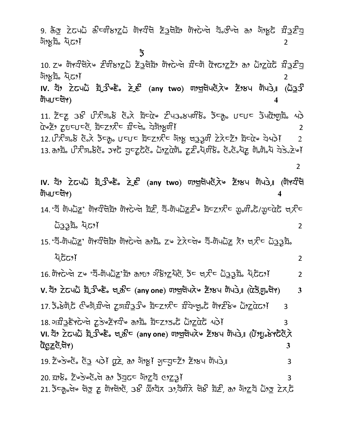9.  $5\sigma$  ਟੇਟ੫ධ  $5\sigma$ ਟਯੰਲ $2$ ධ ਯੋਖਬੰਖ ਟੇਤਖੋੜੋ, ਯੋਖਟੇਪਖ ਬ੍ਰੇਤੀਪਖੇ ਨ, ਹੋਂ।ਮੁਟੁੱ ਬੰਤਣੰਬ চাঁঃষ্টুয় মূত্যে  $\overline{2}$ 

ັ້ງ

ট্যিওচ্ট্রিপ)

10. ZG ਯਾਬੀਰਨੇ ਵੀ ਨਿਅਨ ਵਿਰੁੱਧੀ ਅਮਰੇ ਦਾ ਕਾਰੀ ਕਾਰ ਵਿੱਚ ਹੈ ਕੇ ਸ਼ਰਵੇਸ਼ ਦੀ ਸ <u> গ্যঁচুই দ্যু বৈক্ৰী</u>  $\overline{2}$ 

IV. ସੋਂ? ਟੇਟਪਨੌ ਬ੍ਰੇਤੇ ਇੱਫ਼ ਟੇਵ (any two) ण?ਯੂਯੋਪਨੈਨੇ ਟੋਂ?ਲਪ ਯੋਪਤੇ,။ (ਨੌਤੂਤੇ ট্যিওচেট্ৰূপ)  $\overline{\mathbf{4}}$ 

 $11.$   $\bar{z}$ CZ 38 ปี  $\bar{z}$ ភា $\bar{z}$  č $\bar{z}$  ភ្និប្រុ $\alpha$   $\bar{z}$  us average  $\bar{z}$  and  $\bar{z}$   $\bar{z}$ άνΣη ζυτιτά, ইττηλτ Πτά, αξηγή!  $\overline{2}$ 

 $12.07$ ਨੇਗ $\delta$  ਫੋਨੇ ਡੈਟਨੂ,  $U$ ⊂ $U$ ⊂ ਬੈਟ $Z$ ୨ਨੇੰਟ ਗੋਂ9ਲੂ ਖਤਤੁਸੀਂ ਟੇਨੇ⊂ਟੋਂ9 ਬੈਟαੋਂ∿ ਧੋ੫ੇ $\delta$ !  $\overline{2}$ 13. ಹਾੈਬ. ਪੇ ਨੈਗ. ਲੈਣੋ. ਤਾੈ ਨੂੰ ਤੁਰਟੂਰੈਣੋ. ධੋ<u>ਾਟ</u>ਕੇਯੋ. ਟੂਟੋ.ਪ੍ਰੋਸਿੰਲੋ. ਟੋ.ਟੋ.ਪੋਟੂ ਯੋ.ਯੋ.ਪੋ ਬੇਤੇ. ਟੋਪੀ

 $\overline{2}$ 

 $\overline{2}$ 

 $\boldsymbol{\Lambda}$ 

14. "ঘੋঁ ਯੋਪධੇZ' ਯੋਖ਼ਟੀਖੇਡੀ, ਯੋਖਟੇ ਬੇ ਡੇਟੇ, ਬੌ-ਯੋਪධੇZਟੇ ਡੋਟz, ਟੇਟ ਲ਼.ਯੋ.ਟੋ/ਲ਼ਟਕੇਟੋ ਖ, ਟੇਟ  $\overline{\omega}$ 33য়, দূতে)  $\overline{2}$ 

 $15.$  'ঘ៊-lūપධි $Z$ ' lūੱ ਪੌਖਿਬੋਂ ਇਸੇ ਹੋ ਅੰਬੋਂ ਨਾਲ ਟੇਨੇਟਖੇ ਬੌ-lūਪਹੋਣ ਨੇ ਖਨੈਟ ධੋ33 ਬੋਂ រុ<sub>ទេ</sub>ភូជ

16. ਗੋ $\vec{r}$ ਦਿਯੇ Zu 'ਬੌ-ਗੋਪਘੋਟ'ਬੋਂ ਰਾਹ ਐਂਡਾਟਪੋਰੋ, ਡੋਟ ਖਾਨੀਟ ਯੋਤਤੇਬੋ, ਪ੍ਰੋਫੈਂਫਾ)  $\overline{2}$ 

V. যী? Zَ ਇਹ ਸ਼੍ਰੇ ਤੋਂ ਇੱਕ ਖਰੀ (any one) ਯਾਖੁਖੀਪਨੇ ਇੱਕ ਸਿਪਤੇ, ( $\vec{a}$ ਤ੍ਰਹਾਕਿਸ)  $\overline{3}$ 

 $17.5.8$ ਯੋ,ਟੋ  $\vec{c}$ ওর্ট,য়ীর্ণ যুর্ন্নী $33$ ও য়ুব্যু $\vec{x}$ ব য়ীর্ণগৃ $\vec{c}$  ਯੋ $\vec{r}$ ষ্টিও  $\vec{\omega}$ ্যা $\vec{\alpha}$ 3 18. **ਾ**ਬੀ3ਫੋਰ ਦੇ ਕੁੱਖਵੇਰ ਦੇ ਕਾਬੋ ਨੇ ਬਾਹਰ ਕੀਤੇ ਪ੍ਰੋਮੀ  $\overline{3}$ VI. য়ৈ Zૅढ੫়ট য়ুক্ৰীওছঁ বুক্টীত (any one) অগ্ৰুণীএৰ স্থীষ্ট স্থা আঁও এটা টেগ্যুক্টেটেৰ্স ট্ট<u>েΣ</u>ইটো়া  $\mathbf{3}$ 

19. Zૅ⊌̀ਤ∀ਁਓ ਨੌਤੂ ੫੩ੇ! ਊਟੇ, ਨਾ ਹੋਾਂ ਮੁੱ! ਹੁਵਹੂਵਟੋਂ? ਟੋਂ ਮੁੱਖ ਯੋਪਤੇ,∥ 3 20. 298. ZUSUG. of 376c 519ZT G9Z3! 3 21. ইন্দ্ৰুলৈত <u>বিস্তু z</u> টাপ্লগভী, ওস্ট ক্ৰীসহৈ ওগ্ৰসীমী বাস্ত <u>ইাই, কা</u> গাঁগ<u>া</u>ই টাগ<u>্</u>ত হৈয়ে ট